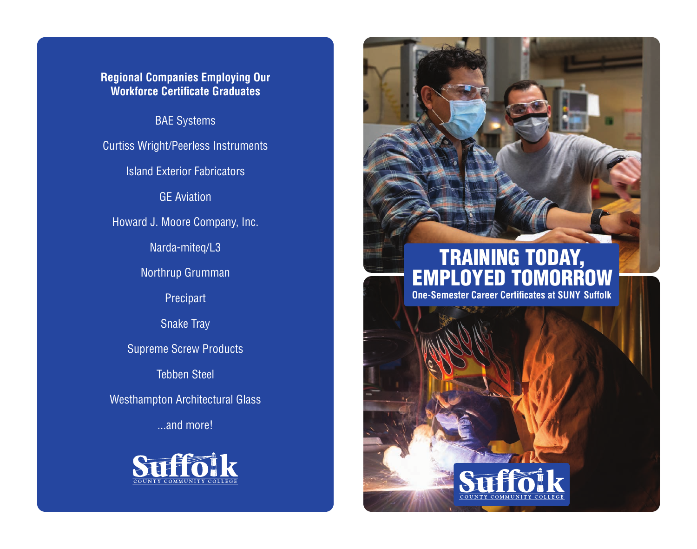### **Regional Companies Employing Our Workforce Certificate Graduates**

BAE Systems

Curtiss Wright/Peerless Instruments

Island Exterior Fabricators

GE Aviation

Howard J. Moore Company, Inc.

Narda-miteq/L3

Northrup Grumman

Precipart

Snake Tray

Supreme Screw Products

Tebben Steel

Westhampton Architectural Glass

...and more!



# **TRAINING TODAY, EMPLOYED TOMORROW One-Semester Career Certificates at SUNY Suffolk**